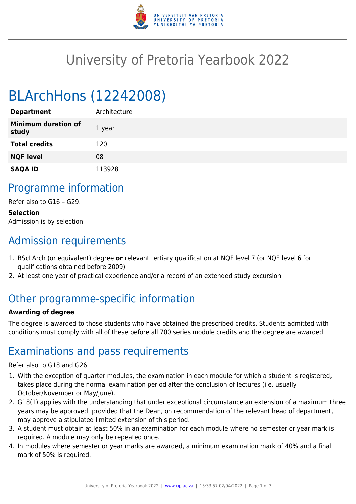

## University of Pretoria Yearbook 2022

# BLArchHons (12242008)

| <b>Department</b>                   | Architecture |
|-------------------------------------|--------------|
| <b>Minimum duration of</b><br>study | 1 year       |
| <b>Total credits</b>                | 120          |
| <b>NQF level</b>                    | 08           |
| <b>SAQA ID</b>                      | 113928       |

### Programme information

Refer also to G16 – G29.

**Selection** Admission is by selection

## Admission requirements

- 1. BScLArch (or equivalent) degree **or** relevant tertiary qualification at NQF level 7 (or NQF level 6 for qualifications obtained before 2009)
- 2. At least one year of practical experience and/or a record of an extended study excursion

## Other programme-specific information

#### **Awarding of degree**

The degree is awarded to those students who have obtained the prescribed credits. Students admitted with conditions must comply with all of these before all 700 series module credits and the degree are awarded.

### Examinations and pass requirements

Refer also to G18 and G26.

- 1. With the exception of quarter modules, the examination in each module for which a student is registered, takes place during the normal examination period after the conclusion of lectures (i.e. usually October/November or May/June).
- 2. G18(1) applies with the understanding that under exceptional circumstance an extension of a maximum three years may be approved: provided that the Dean, on recommendation of the relevant head of department, may approve a stipulated limited extension of this period.
- 3. A student must obtain at least 50% in an examination for each module where no semester or year mark is required. A module may only be repeated once.
- 4. In modules where semester or year marks are awarded, a minimum examination mark of 40% and a final mark of 50% is required.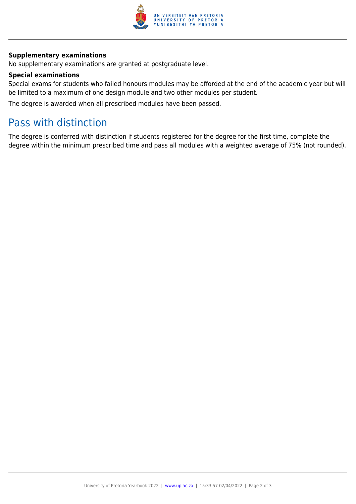

#### **Supplementary examinations**

No supplementary examinations are granted at postgraduate level.

#### **Special examinations**

Special exams for students who failed honours modules may be afforded at the end of the academic year but will be limited to a maximum of one design module and two other modules per student.

The degree is awarded when all prescribed modules have been passed.

### Pass with distinction

The degree is conferred with distinction if students registered for the degree for the first time, complete the degree within the minimum prescribed time and pass all modules with a weighted average of 75% (not rounded).